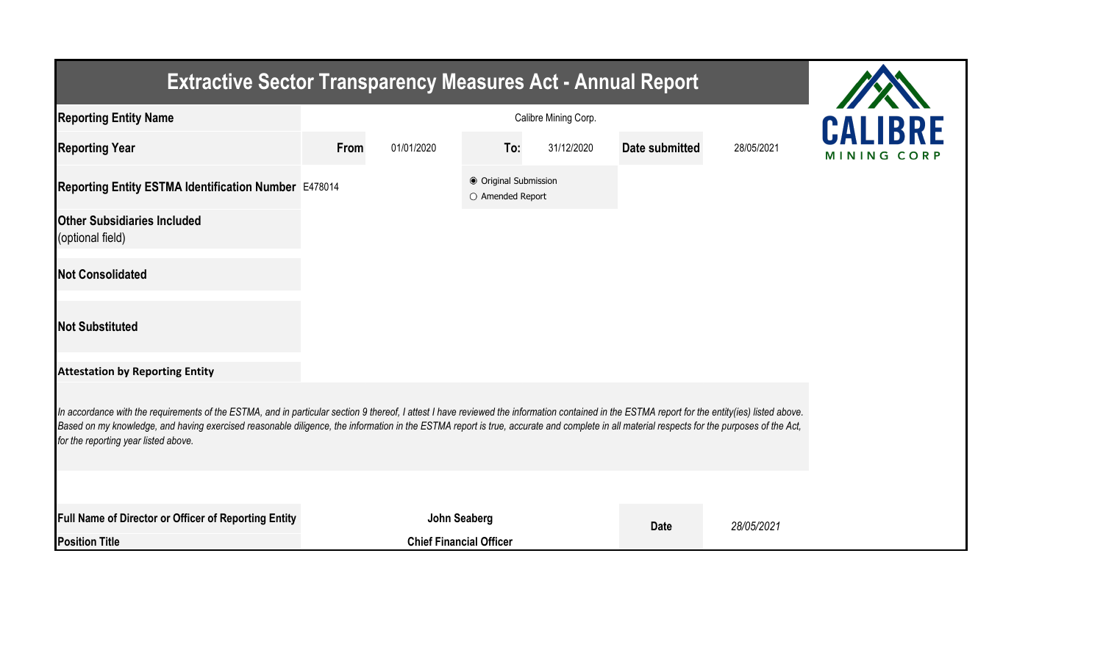| <b>Extractive Sector Transparency Measures Act - Annual Report</b>                                                                                                                                                                                                                                                                                                                                                                    |      |                                |                                           |            |                |            |             |
|---------------------------------------------------------------------------------------------------------------------------------------------------------------------------------------------------------------------------------------------------------------------------------------------------------------------------------------------------------------------------------------------------------------------------------------|------|--------------------------------|-------------------------------------------|------------|----------------|------------|-------------|
| <b>Reporting Entity Name</b>                                                                                                                                                                                                                                                                                                                                                                                                          |      | <b>CALIBRE</b>                 |                                           |            |                |            |             |
| <b>Reporting Year</b>                                                                                                                                                                                                                                                                                                                                                                                                                 | From | 01/01/2020                     | To:                                       | 31/12/2020 | Date submitted | 28/05/2021 | MINING CORP |
| Reporting Entity ESTMA Identification Number E478014                                                                                                                                                                                                                                                                                                                                                                                  |      |                                | ● Original Submission<br>O Amended Report |            |                |            |             |
| <b>Other Subsidiaries Included</b><br>(optional field)                                                                                                                                                                                                                                                                                                                                                                                |      |                                |                                           |            |                |            |             |
| <b>Not Consolidated</b>                                                                                                                                                                                                                                                                                                                                                                                                               |      |                                |                                           |            |                |            |             |
| <b>Not Substituted</b>                                                                                                                                                                                                                                                                                                                                                                                                                |      |                                |                                           |            |                |            |             |
| <b>Attestation by Reporting Entity</b>                                                                                                                                                                                                                                                                                                                                                                                                |      |                                |                                           |            |                |            |             |
| In accordance with the requirements of the ESTMA, and in particular section 9 thereof, I attest I have reviewed the information contained in the ESTMA report for the entity(ies) listed above.<br>Based on my knowledge, and having exercised reasonable diligence, the information in the ESTMA report is true, accurate and complete in all material respects for the purposes of the Act,<br>for the reporting year listed above. |      |                                |                                           |            |                |            |             |
|                                                                                                                                                                                                                                                                                                                                                                                                                                       |      |                                |                                           |            |                |            |             |
| <b>Full Name of Director or Officer of Reporting Entity</b>                                                                                                                                                                                                                                                                                                                                                                           |      | <b>John Seaberg</b>            |                                           |            | <b>Date</b>    | 28/05/2021 |             |
| <b>Position Title</b>                                                                                                                                                                                                                                                                                                                                                                                                                 |      | <b>Chief Financial Officer</b> |                                           |            |                |            |             |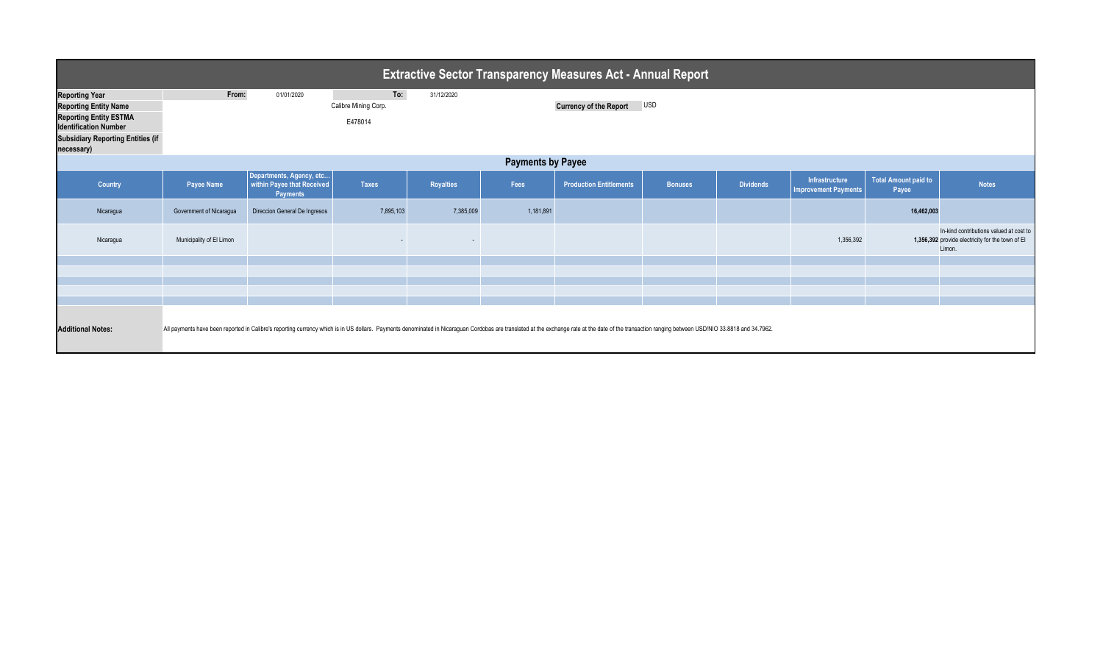| <b>Extractive Sector Transparency Measures Act - Annual Report</b>                                                                                                               |                          |                                                                           |                                        |                          |           |                                                                                                                                                                                                                                |                |                  |                                               |                                      |                                                                                                       |  |
|----------------------------------------------------------------------------------------------------------------------------------------------------------------------------------|--------------------------|---------------------------------------------------------------------------|----------------------------------------|--------------------------|-----------|--------------------------------------------------------------------------------------------------------------------------------------------------------------------------------------------------------------------------------|----------------|------------------|-----------------------------------------------|--------------------------------------|-------------------------------------------------------------------------------------------------------|--|
| <b>Reporting Year</b><br><b>Reporting Entity Name</b><br><b>Reporting Entity ESTMA</b><br><b>Identification Number</b><br><b>Subsidiary Reporting Entities (if</b><br>necessary) | From:                    | 01/01/2020                                                                | To:<br>Calibre Mining Corp.<br>E478014 | 31/12/2020               |           | <b>Currency of the Report</b>                                                                                                                                                                                                  | <b>USD</b>     |                  |                                               |                                      |                                                                                                       |  |
| <b>Payments by Payee</b>                                                                                                                                                         |                          |                                                                           |                                        |                          |           |                                                                                                                                                                                                                                |                |                  |                                               |                                      |                                                                                                       |  |
| Country                                                                                                                                                                          | <b>Payee Name</b>        | Departments, Agency, etc<br>within Payee that Received<br><b>Payments</b> | <b>Taxes</b>                           | <b>Royalties</b>         | Fees      | <b>Production Entitlements</b>                                                                                                                                                                                                 | <b>Bonuses</b> | <b>Dividends</b> | Infrastructure<br><b>Improvement Payments</b> | <b>Total Amount paid to</b><br>Payee | <b>Notes</b>                                                                                          |  |
| Nicaragua                                                                                                                                                                        | Government of Nicaragua  | Direccion General De Ingresos                                             | 7,895,103                              | 7,385,009                | 1,181,891 |                                                                                                                                                                                                                                |                |                  |                                               | 16,462,003                           |                                                                                                       |  |
| Nicaragua                                                                                                                                                                        | Municipality of El Limon |                                                                           |                                        | $\overline{\phantom{a}}$ |           |                                                                                                                                                                                                                                |                |                  | 1,356,392                                     |                                      | In-kind contributions valued at cost to<br>1,356,392 provide electricity for the town of El<br>Limon. |  |
|                                                                                                                                                                                  |                          |                                                                           |                                        |                          |           |                                                                                                                                                                                                                                |                |                  |                                               |                                      |                                                                                                       |  |
|                                                                                                                                                                                  |                          |                                                                           |                                        |                          |           |                                                                                                                                                                                                                                |                |                  |                                               |                                      |                                                                                                       |  |
|                                                                                                                                                                                  |                          |                                                                           |                                        |                          |           |                                                                                                                                                                                                                                |                |                  |                                               |                                      |                                                                                                       |  |
| <b>Additional Notes:</b>                                                                                                                                                         |                          |                                                                           |                                        |                          |           | All payments have been reported in Calibre's reporting currency which is in US dollars. Payments denominated in Nicaraguan Cordobas are translated at the exchange rate at the date of the transaction ranging between USD/NIO |                |                  |                                               |                                      |                                                                                                       |  |